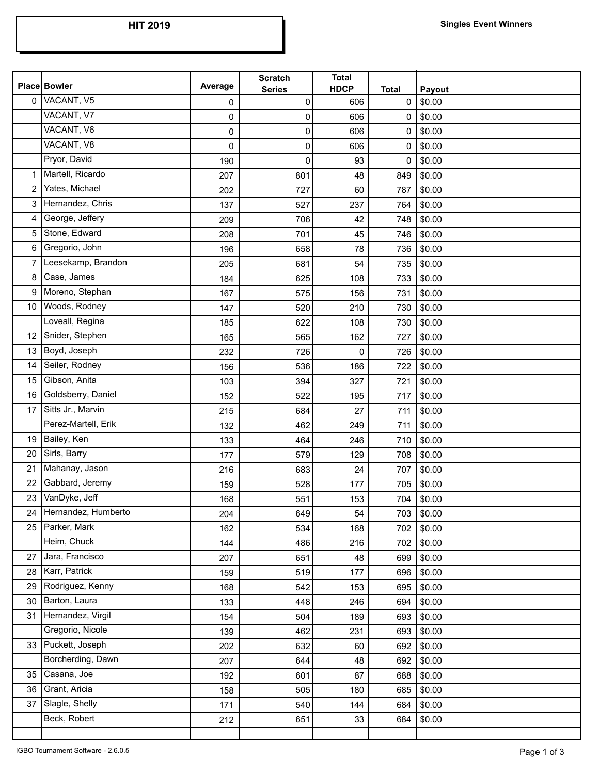|                | <b>Place Bowler</b> | Average | <b>Scratch</b><br><b>Series</b> | <b>Total</b><br><b>HDCP</b> | <b>Total</b> | Payout |
|----------------|---------------------|---------|---------------------------------|-----------------------------|--------------|--------|
| $\mathbf{0}$   | VACANT, V5          | 0       | 0                               | 606                         | 0            | \$0.00 |
|                | VACANT, V7          | 0       | 0                               | 606                         | 0            | \$0.00 |
|                | VACANT, V6          | 0       | 0                               | 606                         | 0            | \$0.00 |
|                | VACANT, V8          | 0       | 0                               | 606                         | 0            | \$0.00 |
|                | Pryor, David        | 190     | 0                               | 93                          | 0            | \$0.00 |
| 1              | Martell, Ricardo    | 207     | 801                             | 48                          | 849          | \$0.00 |
| $\overline{2}$ | Yates, Michael      | 202     | 727                             | 60                          | 787          | \$0.00 |
| 3              | Hernandez, Chris    | 137     | 527                             | 237                         | 764          | \$0.00 |
| 4              | George, Jeffery     | 209     | 706                             | 42                          | 748          | \$0.00 |
| 5              | Stone, Edward       | 208     | 701                             | 45                          | 746          | \$0.00 |
| 6              | Gregorio, John      | 196     | 658                             | 78                          | 736          | \$0.00 |
| 7              | Leesekamp, Brandon  | 205     | 681                             | 54                          | 735          | \$0.00 |
| 8              | Case, James         | 184     | 625                             | 108                         | 733          | \$0.00 |
| 9              | Moreno, Stephan     | 167     | 575                             | 156                         | 731          | \$0.00 |
| 10             | Woods, Rodney       | 147     | 520                             | 210                         | 730          | \$0.00 |
|                | Loveall, Regina     | 185     | 622                             | 108                         | 730          | \$0.00 |
| 12             | Snider, Stephen     | 165     | 565                             | 162                         | 727          | \$0.00 |
| 13             | Boyd, Joseph        | 232     | 726                             | 0                           | 726          | \$0.00 |
| 14             | Seiler, Rodney      | 156     | 536                             | 186                         | 722          | \$0.00 |
| 15             | Gibson, Anita       | 103     | 394                             | 327                         | 721          | \$0.00 |
| 16             | Goldsberry, Daniel  | 152     | 522                             | 195                         | 717          | \$0.00 |
| 17             | Sitts Jr., Marvin   | 215     | 684                             | 27                          | 711          | \$0.00 |
|                | Perez-Martell, Erik | 132     | 462                             | 249                         | 711          | \$0.00 |
| 19             | Bailey, Ken         | 133     | 464                             | 246                         | 710          | \$0.00 |
| 20             | Sirls, Barry        | 177     | 579                             | 129                         | 708          | \$0.00 |
| 21             | Mahanay, Jason      | 216     | 683                             | 24                          | 707          | \$0.00 |
| 22             | Gabbard, Jeremy     | 159     | 528                             | 177                         | 705          | \$0.00 |
| 23             | VanDyke, Jeff       | 168     | 551                             | 153                         | 704          | \$0.00 |
| 24             | Hernandez, Humberto | 204     | 649                             | 54                          | 703          | \$0.00 |
| 25             | Parker, Mark        | 162     | 534                             | 168                         | 702          | \$0.00 |
|                | Heim, Chuck         | 144     | 486                             | 216                         | 702          | \$0.00 |
| 27             | Jara, Francisco     | 207     | 651                             | 48                          | 699          | \$0.00 |
| 28             | Karr, Patrick       | 159     | 519                             | 177                         | 696          | \$0.00 |
| 29             | Rodriguez, Kenny    | 168     | 542                             | 153                         | 695          | \$0.00 |
| 30             | Barton, Laura       | 133     | 448                             | 246                         | 694          | \$0.00 |
| 31             | Hernandez, Virgil   | 154     | 504                             | 189                         | 693          | \$0.00 |
|                | Gregorio, Nicole    | 139     | 462                             | 231                         | 693          | \$0.00 |
| 33             | Puckett, Joseph     | 202     | 632                             | 60                          | 692          | \$0.00 |
|                | Borcherding, Dawn   | 207     | 644                             | 48                          | 692          | \$0.00 |
| 35             | Casana, Joe         | 192     | 601                             | 87                          | 688          | \$0.00 |
| 36             | Grant, Aricia       | 158     | 505                             | 180                         | 685          | \$0.00 |
| 37             | Slagle, Shelly      | 171     | 540                             | 144                         | 684          | \$0.00 |
|                | Beck, Robert        | 212     | 651                             | 33                          | 684          | \$0.00 |
|                |                     |         |                                 |                             |              |        |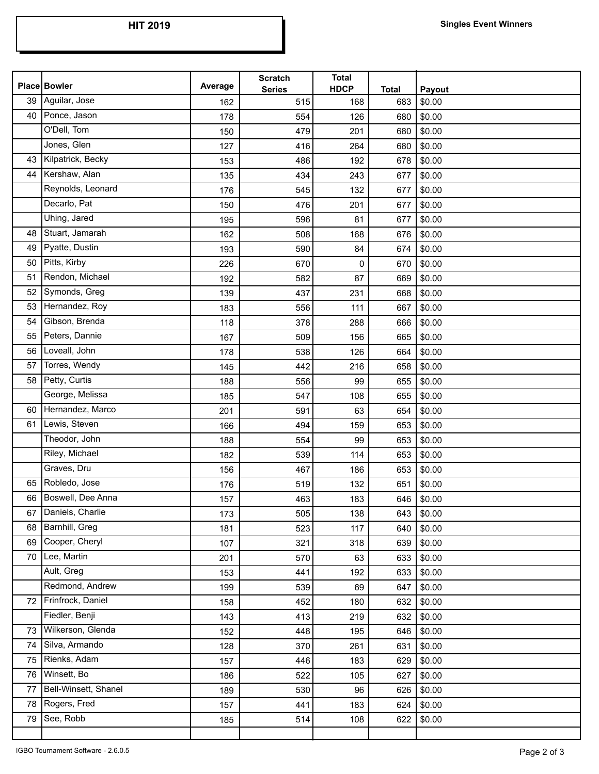|    | Place Bowler         | Average | <b>Scratch</b><br><b>Series</b> | <b>Total</b><br><b>HDCP</b> | <b>Total</b> | Payout |
|----|----------------------|---------|---------------------------------|-----------------------------|--------------|--------|
| 39 | Aguilar, Jose        | 162     | 515                             | 168                         | 683          | \$0.00 |
| 40 | Ponce, Jason         | 178     | 554                             | 126                         | 680          | \$0.00 |
|    | O'Dell, Tom          | 150     | 479                             | 201                         | 680          | \$0.00 |
|    | Jones, Glen          | 127     | 416                             | 264                         | 680          | \$0.00 |
| 43 | Kilpatrick, Becky    | 153     | 486                             | 192                         | 678          | \$0.00 |
| 44 | Kershaw, Alan        | 135     | 434                             | 243                         | 677          | \$0.00 |
|    | Reynolds, Leonard    | 176     | 545                             | 132                         | 677          | \$0.00 |
|    | Decarlo, Pat         | 150     | 476                             | 201                         | 677          | \$0.00 |
|    | Uhing, Jared         | 195     | 596                             | 81                          | 677          | \$0.00 |
| 48 | Stuart, Jamarah      | 162     | 508                             | 168                         | 676          | \$0.00 |
| 49 | Pyatte, Dustin       | 193     | 590                             | 84                          | 674          | \$0.00 |
| 50 | Pitts, Kirby         | 226     | 670                             | 0                           | 670          | \$0.00 |
| 51 | Rendon, Michael      | 192     | 582                             | 87                          | 669          | \$0.00 |
| 52 | Symonds, Greg        | 139     | 437                             | 231                         | 668          | \$0.00 |
| 53 | Hernandez, Roy       | 183     | 556                             | 111                         | 667          | \$0.00 |
| 54 | Gibson, Brenda       | 118     | 378                             | 288                         | 666          | \$0.00 |
| 55 | Peters, Dannie       | 167     | 509                             | 156                         | 665          | \$0.00 |
| 56 | Loveall, John        | 178     | 538                             | 126                         | 664          | \$0.00 |
| 57 | Torres, Wendy        | 145     | 442                             | 216                         | 658          | \$0.00 |
| 58 | Petty, Curtis        | 188     | 556                             | 99                          | 655          | \$0.00 |
|    | George, Melissa      | 185     | 547                             | 108                         | 655          | \$0.00 |
| 60 | Hernandez, Marco     | 201     | 591                             | 63                          | 654          | \$0.00 |
| 61 | Lewis, Steven        | 166     | 494                             | 159                         | 653          | \$0.00 |
|    | Theodor, John        | 188     | 554                             | 99                          | 653          | \$0.00 |
|    | Riley, Michael       | 182     | 539                             | 114                         | 653          | \$0.00 |
|    | Graves, Dru          | 156     | 467                             | 186                         | 653          | \$0.00 |
| 65 | Robledo, Jose        | 176     | 519                             | 132                         | 651          | \$0.00 |
| 66 | Boswell, Dee Anna    | 157     | 463                             | 183                         | 646          | \$0.00 |
| 67 | Daniels, Charlie     | 173     | 505                             | 138                         | 643          | \$0.00 |
| 68 | Barnhill, Greg       | 181     | 523                             | 117                         | 640          | \$0.00 |
| 69 | Cooper, Cheryl       | 107     | 321                             | 318                         | 639          | \$0.00 |
| 70 | Lee, Martin          | 201     | 570                             | 63                          | 633          | \$0.00 |
|    | Ault, Greg           | 153     | 441                             | 192                         | 633          | \$0.00 |
|    | Redmond, Andrew      | 199     | 539                             | 69                          | 647          | \$0.00 |
| 72 | Frinfrock, Daniel    | 158     | 452                             | 180                         | 632          | \$0.00 |
|    | Fiedler, Benji       | 143     | 413                             | 219                         | 632          | \$0.00 |
| 73 | Wilkerson, Glenda    | 152     | 448                             | 195                         | 646          | \$0.00 |
| 74 | Silva, Armando       | 128     | 370                             | 261                         | 631          | \$0.00 |
| 75 | Rienks, Adam         | 157     | 446                             | 183                         | 629          | \$0.00 |
| 76 | Winsett, Bo          | 186     | 522                             | 105                         | 627          | \$0.00 |
| 77 | Bell-Winsett, Shanel | 189     | 530                             | 96                          | 626          | \$0.00 |
| 78 | Rogers, Fred         | 157     | 441                             | 183                         | 624          | \$0.00 |
| 79 | See, Robb            | 185     | 514                             | 108                         | 622          | \$0.00 |
|    |                      |         |                                 |                             |              |        |